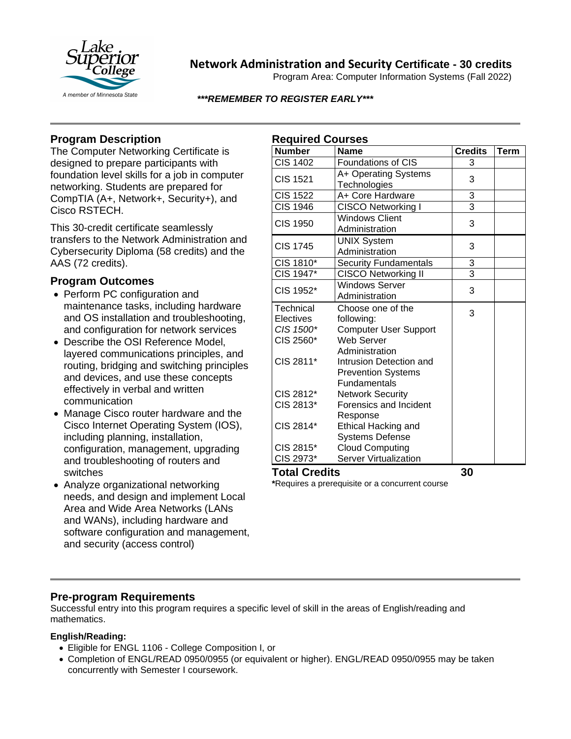

# **Network Administration and Security Certificate - 30 credits**

Program Area: Computer Information Systems (Fall 2022)

### *\*\*\*REMEMBER TO REGISTER EARLY\*\*\**

## **Program Description**

The Computer Networking Certificate is designed to prepare participants with foundation level skills for a job in computer networking. Students are prepared for CompTIA (A+, Network+, Security+), and Cisco RSTECH.

This 30-credit certificate seamlessly transfers to the Network Administration and Cybersecurity Diploma (58 credits) and the AAS (72 credits).

### **Program Outcomes**

- Perform PC configuration and maintenance tasks, including hardware and OS installation and troubleshooting, and configuration for network services
- Describe the OSI Reference Model, layered communications principles, and routing, bridging and switching principles and devices, and use these concepts effectively in verbal and written communication
- Manage Cisco router hardware and the Cisco Internet Operating System (IOS), including planning, installation, configuration, management, upgrading and troubleshooting of routers and switches
- Analyze organizational networking needs, and design and implement Local Area and Wide Area Networks (LANs and WANs), including hardware and software configuration and management, and security (access control)

| <b>Required Courses</b> |                              |                |             |
|-------------------------|------------------------------|----------------|-------------|
| <b>Number</b>           | <b>Name</b>                  | <b>Credits</b> | <b>Term</b> |
| <b>CIS 1402</b>         | <b>Foundations of CIS</b>    | 3              |             |
| <b>CIS 1521</b>         | A+ Operating Systems         | 3              |             |
|                         | Technologies                 |                |             |
| <b>CIS 1522</b>         | A+ Core Hardware             | 3              |             |
| <b>CIS 1946</b>         | <b>CISCO Networking I</b>    | 3              |             |
| <b>CIS 1950</b>         | <b>Windows Client</b>        | 3              |             |
|                         | Administration               |                |             |
| <b>CIS 1745</b>         | <b>UNIX System</b>           | 3              |             |
|                         | Administration               |                |             |
| CIS 1810*               | <b>Security Fundamentals</b> | $\overline{3}$ |             |
| CIS 1947*               | <b>CISCO Networking II</b>   | $\overline{3}$ |             |
| CIS 1952*               | <b>Windows Server</b>        | 3              |             |
|                         | Administration               |                |             |
| Technical               | Choose one of the            | 3              |             |
| Electives               | following:                   |                |             |
| CIS 1500*               | <b>Computer User Support</b> |                |             |
| CIS 2560*               | <b>Web Server</b>            |                |             |
|                         | Administration               |                |             |
| CIS 2811*               | Intrusion Detection and      |                |             |
|                         | <b>Prevention Systems</b>    |                |             |
|                         | <b>Fundamentals</b>          |                |             |
| CIS 2812*               | <b>Network Security</b>      |                |             |
| CIS 2813*               | Forensics and Incident       |                |             |
|                         | Response                     |                |             |
| CIS 2814*               | <b>Ethical Hacking and</b>   |                |             |
|                         | <b>Systems Defense</b>       |                |             |
| CIS 2815*               | <b>Cloud Computing</b>       |                |             |
| CIS 2973*               | Server Virtualization        |                |             |

**Total Credits 30**

**\***Requires a prerequisite or a concurrent course

## **Pre-program Requirements**

Successful entry into this program requires a specific level of skill in the areas of English/reading and mathematics.

### **English/Reading:**

- Eligible for ENGL 1106 College Composition I, or
- Completion of ENGL/READ 0950/0955 (or equivalent or higher). ENGL/READ 0950/0955 may be taken concurrently with Semester I coursework.